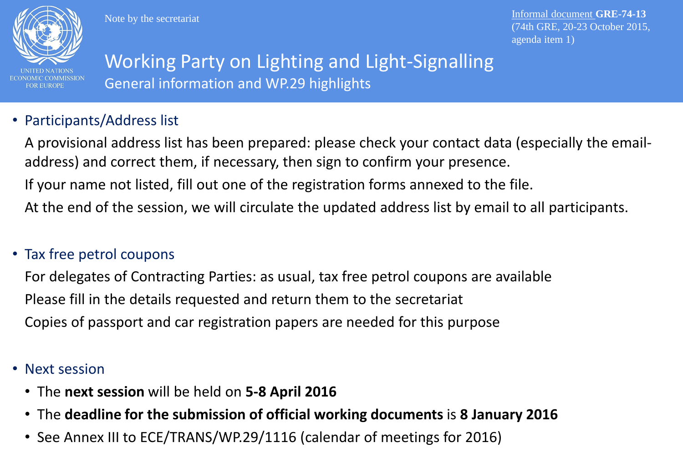

Note by the secretariat

Informal document **GRE-74-13** (74th GRE, 20-23 October 2015, agenda item 1)

## Working Party on Lighting and Light-Signalling General information and WP.29 highlights

### • Participants/Address list

A provisional address list has been prepared: please check your contact data (especially the emailaddress) and correct them, if necessary, then sign to confirm your presence. If your name not listed, fill out one of the registration forms annexed to the file. At the end of the session, we will circulate the updated address list by email to all participants.

### • Tax free petrol coupons

For delegates of Contracting Parties: as usual, tax free petrol coupons are available Please fill in the details requested and return them to the secretariat Copies of passport and car registration papers are needed for this purpose

- Next session
	- The **next session** will be held on **5-8 April 2016**
	- The **deadline for the submission of official working documents** is **8 January 2016**
	- See Annex III to ECE/TRANS/WP.29/1116 (calendar of meetings for 2016)